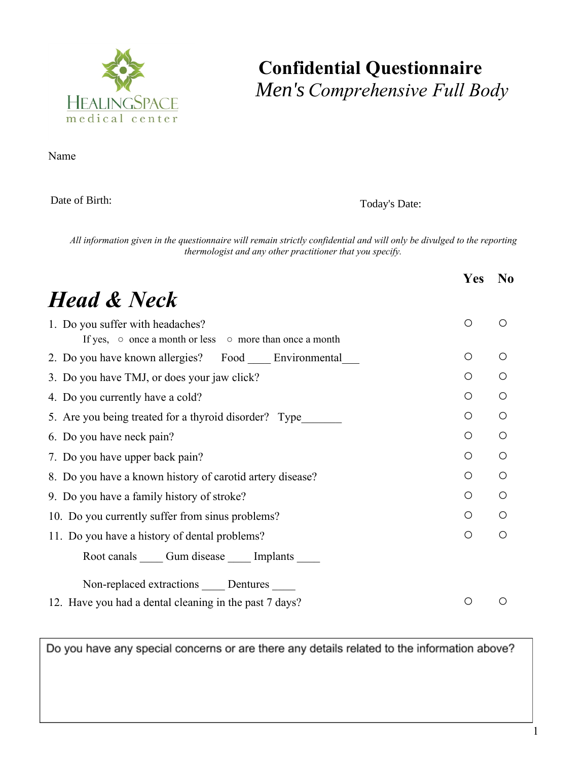

#### **Confidential Questionnaire** *Women's Comprehensive Full Body Men's*

Name Birth Date Today's Date To Date To Date To Date To Date To Date To Date To Date To Date To Date To Date To Date To Date To Date To Date To Date To Date To Date To Date To Date To Date To Date To Date To Date To Date T

Date of Birth:

Today's Date:

All information given in the questionnaire will remain strictly confidential and will only be divulged to the reporting *thermologist and any other practitioner that you specify.*

|                                                                                                         | Yes | N <sub>0</sub> |  |  |  |
|---------------------------------------------------------------------------------------------------------|-----|----------------|--|--|--|
| <b>Head &amp; Neck</b>                                                                                  |     |                |  |  |  |
| 1. Do you suffer with headaches?<br>If yes, $\circ$ once a month or less $\circ$ more than once a month | O   | ∩              |  |  |  |
| 2. Do you have known allergies? Food Environmental                                                      | Ο   | $\bigcirc$     |  |  |  |
| 3. Do you have TMJ, or does your jaw click?                                                             | Ω   | ∩              |  |  |  |
| 4. Do you currently have a cold?                                                                        | O   | $\bigcirc$     |  |  |  |
| 5. Are you being treated for a thyroid disorder? Type                                                   | Ο   | O              |  |  |  |
| 6. Do you have neck pain?                                                                               | Ο   | O              |  |  |  |
| 7. Do you have upper back pain?                                                                         | Ο   | Ω              |  |  |  |
| 8. Do you have a known history of carotid artery disease?                                               |     |                |  |  |  |
| 9. Do you have a family history of stroke?                                                              | O   | $\bigcirc$     |  |  |  |
| 10. Do you currently suffer from sinus problems?                                                        |     |                |  |  |  |
| 11. Do you have a history of dental problems?                                                           |     |                |  |  |  |
| Root canals Cum disease Cumplants                                                                       |     |                |  |  |  |
| Non-replaced extractions _____ Dentures _____                                                           |     |                |  |  |  |
| 12. Have you had a dental cleaning in the past 7 days?                                                  |     |                |  |  |  |

Do you have any special concerns or are there any details related to the information above?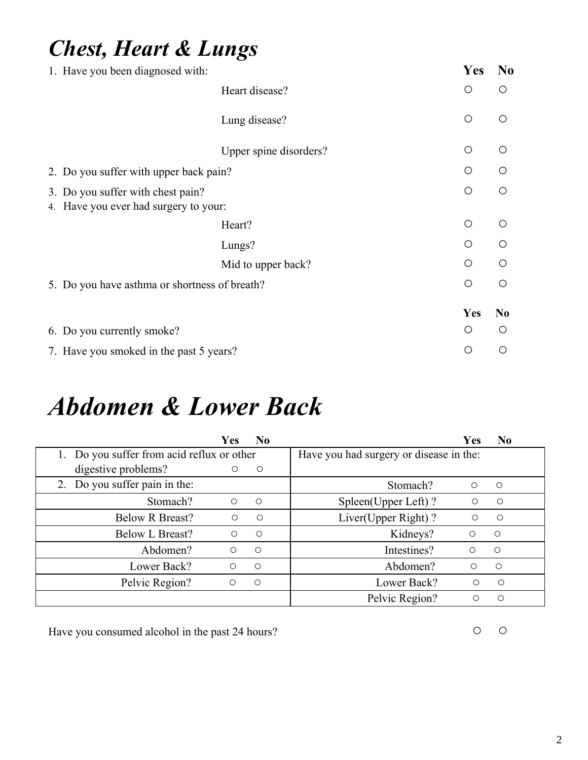#### *Chest, Heart & Lungs*

|                                               | 1. Have you been diagnosed with:                                           |                        |  | <b>Yes</b> | N <sub>0</sub> |
|-----------------------------------------------|----------------------------------------------------------------------------|------------------------|--|------------|----------------|
|                                               |                                                                            | Heart disease?         |  | O          | O              |
|                                               |                                                                            | Lung disease?          |  | $\bigcirc$ | $\circ$        |
|                                               |                                                                            | Upper spine disorders? |  | $\bigcirc$ | $\circ$        |
| 2. Do you suffer with upper back pain?        |                                                                            |                        |  |            | ∩              |
|                                               | 3. Do you suffer with chest pain?<br>4. Have you ever had surgery to your: |                        |  | $\bigcirc$ | $\circ$        |
|                                               |                                                                            | Heart?                 |  | O          | $\bigcap$      |
|                                               |                                                                            | Lungs?                 |  | $\bigcirc$ | $\circ$        |
|                                               |                                                                            | Mid to upper back?     |  | $\bigcirc$ | ◯              |
| 5. Do you have asthma or shortness of breath? |                                                                            |                        |  |            | $\circ$        |
|                                               |                                                                            |                        |  | Yes        | N <sub>0</sub> |
|                                               | 6. Do you currently smoke?                                                 |                        |  | Ο          | Ω              |
|                                               | 7. Have you smoked in the past 5 years?                                    |                        |  | Ο          | О              |

### *Abdomen & Lower Back*

|                                            | Yes        | $\bf No$   |                                         | <b>Yes</b> | N <sub>0</sub> |
|--------------------------------------------|------------|------------|-----------------------------------------|------------|----------------|
| 1. Do you suffer from acid reflux or other |            |            | Have you had surgery or disease in the: |            |                |
| digestive problems?                        | $\circ$    | $\circ$    |                                         |            |                |
| 2. Do you suffer pain in the:              |            |            | Stomach?                                | $\circ$    | $\bigcirc$     |
| Stomach?                                   | $\circ$    | $\circ$    | Spleen(Upper Left)?                     | O          | $\circ$        |
| <b>Below R Breast?</b>                     | $\circ$    | $\circ$    | Liver(Upper Right)?                     | O          | $\circ$        |
| <b>Below L Breast?</b>                     | $\bigcirc$ | $\circ$    | Kidneys?                                | $\bigcirc$ | $\circ$        |
| Abdomen?                                   | $\circ$    | $\bigcirc$ | Intestines?                             | ◯          | $\bigcirc$     |
| Lower Back?                                | O          | $\circ$    | Abdomen?                                | Ω          | $\circ$        |
| Pelvic Region?                             | $\circ$    | $\circ$    | Lower Back?                             | $\circ$    | $\circ$        |
|                                            |            |            | Pelvic Region?                          | Ω          | O              |

Have you consumed alcohol in the past 24 hours? <br>
○ ○